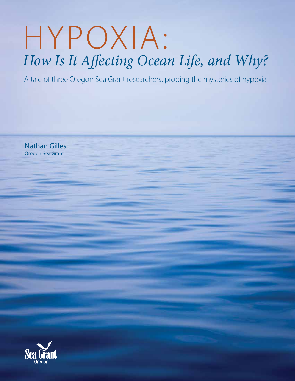# HYPOXIA: *How Is It Affecting Ocean Life, and Why?*

A tale of three Oregon Sea Grant researchers, probing the mysteries of hypoxia

Nathan Gilles Oregon Sea Grant

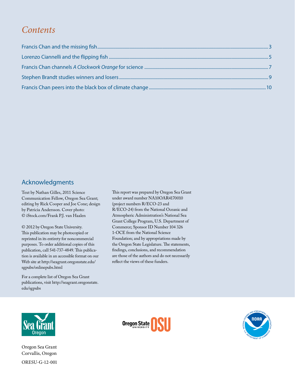### *Contents*

#### Acknowledgments

Text by Nathan Gilles, 2011 Science Communication Fellow, Oregon Sea Grant; editing by Rick Cooper and Joe Cone; design by Patricia Andersson. Cover photo: © iStock.com/Frank P.J. van Haalen

© 2012 by Oregon State University. This publication may be photocopied or reprinted in its entirety for noncommercial purposes. To order additional copies of this publication, call 541-737-4849. This publication is available in an accessible format on our Web site at http://seagrant.oregonstate.edu/ sgpubs/onlinepubs.html

For a complete list of Oregon Sea Grant publications, visit http://seagrant.oregonstate. edu/sgpubs

This report was prepared by Oregon Sea Grant under award number NA10OAR4170010 (project numbers R/ECO-23 and R/ECO-24) from the National Oceanic and Atmospheric Administration's National Sea Grant College Program, U.S. Department of Commerce; Sponsor ID Number 104 326 1-OCE from the National Science Foundation; and by appropriations made by the Oregon State Legislature. The statements, findings, conclusions, and recommendation are those of the authors and do not necessarily reflect the views of these funders.



Oregon Sea Grant Corvallis, Oregon ORESU-G-12-001



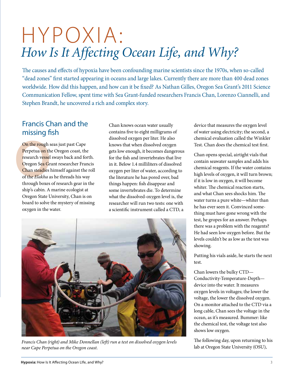# HYPOXIA: *How Is It Affecting Ocean Life, and Why?*

The causes and effects of hypoxia have been confounding marine scientists since the 1970s, when so-called "dead zones" first started appearing in oceans and large lakes. Currently there are more than 400 dead zones worldwide. How did this happen, and how can it be fixed? As Nathan Gilles, Oregon Sea Grant's 2011 Science Communication Fellow, spent time with Sea Grant-funded researchers Francis Chan, Lorenzo Ciannelli, and Stephen Brandt, he uncovered a rich and complex story.

#### Francis Chan and the missing fish

**On the rough s**<br>Perpetua on th<br>research vessel<br>Oregon Sea Gr<br>Chan steadies l<br>of the *Elakha* a<br>through boxes On the rough seas just past Cape Perpetua on the Oregon coast, the research vessel sways back and forth. Oregon Sea Grant researcher Francis Chan steadies himself against the roll of the *Elakha* as he threads his way through boxes of research gear in the ship's cabin. A marine ecologist at Oregon State University, Chan is on board to solve the mystery of missing oxygen in the water.

Chan knows ocean water usually contains five to eight milligrams of dissolved oxygen per liter. He also knows that when dissolved oxygen gets low enough, it becomes dangerous for the fish and invertebrates that live in it. Below 1.4 milliliters of dissolved oxygen per liter of water, according to the literature he has pored over, bad things happen: fish disappear and some invertebrates die. To determine what the dissolved-oxygen level is, the researcher will run two tests: one with a scientific instrument called a CTD, a



*Francis Chan (right) and Mike Donnellan (left) run a test on dissolved oxygen levels near Cape Perpetua on the Oregon coast.*

device that measures the oxygen level of water using electricity; the second, a chemical evaluation called the Winkler Test. Chan does the chemical test first.

Chan opens special, airtight vials that contain seawater samples and adds his chemical reagents. If the water contains high levels of oxygen, it will turn brown; if it is low in oxygen, it will become whiter. The chemical reaction starts, and what Chan sees shocks him. The water turns a pure white—whiter than he has ever seen it. Convinced something must have gone wrong with the test, he gropes for an answer. Perhaps there was a problem with the reagents? He had seen low oxygen before. But the levels couldn't be as low as the test was showing.

Putting his vials aside, he starts the next test.

Chan lowers the bulky CTD— Conductivity-Temperature-Depth device into the water. It measures oxygen levels in voltages; the lower the voltage, the lower the dissolved oxygen. On a monitor attached to the CTD via a long cable, Chan sees the voltage in the ocean, as it's measured. Bummer: like the chemical test, the voltage test also shows low oxygen.

The following day, upon returning to his lab at Oregon State University (OSU),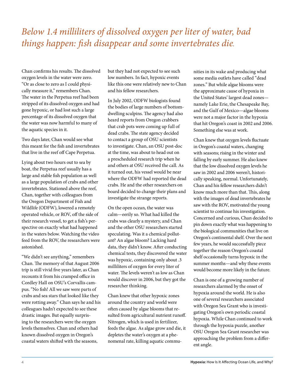# *Below 1.4 milliliters of dissolved oxygen per liter of water, bad things happen: fish disappear and some invertebrates die.*

Chan confirms his results. The dissolved oxygen levels in the water were zero. "Or as close to zero as I could physically measure it," remembers Chan. The water in the Perpetua reef had been stripped of its dissolved oxygen and had gone hypoxic, or had lost such a large percentage of its dissolved oxygen that the water was now harmful to many of the aquatic species in it.

Two days later, Chan would see what this meant for the fish and invertebrates that live in the reef off Cape Perpetua.

Lying about two hours out to sea by boat, the Perpetua reef usually has a large and stable fish population as well as a large population of crabs and other invertebrates. Stationed above the reef, Chan, together with colleagues from the Oregon Department of Fish and Wildlife (ODFW), lowered a remotely operated vehicle, or ROV, off the side of their research vessel, to get a fish's perspective on exactly what had happened in the waters below. Watching the video feed from the ROV, the researchers were astonished.

"We didn't see anything," remembers Chan. The memory of that August 2006 trip is still vivid five years later, as Chan recounts it from his cramped office in Cordley Hall on OSU's Corvallis campus. "No fish! All we saw were parts of crabs and sea stars that looked like they were rotting away." Chan says he and his colleagues hadn't expected to see these drastic images. But equally surprising to the researchers were the oxygen levels themselves. Chan and others had known dissolved oxygen in Oregon's coastal waters shifted with the seasons,

but they had not expected to see such low numbers. In fact, hypoxic events like this one were relatively new to Chan and his fellow researchers.

In July 2002, ODFW biologists found the bodies of large numbers of bottomdwelling sculpins. The agency had also heard reports from Oregon crabbers that crab pots were coming up full of dead crabs. The state agency decided to contact a group of OSU scientists to investigate. Chan, an OSU post-doc at the time, was about to head out on a prescheduled research trip when he and others at OSU received the call. As it turned out, his vessel would be near where the ODFW had reported the dead crabs. He and the other researchers on board decided to change their plans and investigate the strange reports.

On the open ocean, the water was calm—eerily so. What had killed the crabs was clearly a mystery, and Chan and the other OSU researchers started speculating. Was it a chemical pollutant? An algae bloom? Lacking hard data, they didn't know. After conducting chemical tests, they discovered the water was hypoxic, containing only about .3 milliliters of oxygen for every liter of water. The levels weren't as low as Chan would discover in 2006, but they got the researcher thinking.

Chan knew that other hypoxic zones around the country and world were often caused by algae blooms that resulted from agricultural nutrient runoff. Nitrogen, which is used in fertilizer, feeds the algae. As algae grow and die, it depletes the water's oxygen at a phenomenal rate, killing aquatic commu-

nities in its wake and producing what some media outlets have called "dead zones." But while algae blooms were the approximate cause of hypoxia in the United States' largest dead zones namely Lake Erie, the Chesapeake Bay, and the Gulf of Mexico—algae blooms were not a major factor in the hypoxia that hit Oregon's coast in 2002 and 2006. Something else was at work.

Chan knew that oxygen levels fluctuate in Oregon's coastal waters, changing with seasons; rising in the winter and falling by early summer. He also knew that the low dissolved oxygen levels he saw in 2002 and 2006 weren't, historically speaking, normal. Unfortunately, Chan and his fellow researchers didn't know much more than that. This, along with the images of dead invertebrates he saw with the ROV, motivated the young scientist to continue his investigation. Concerned and curious, Chan decided to pin down exactly what was happening to the biological communities that live on Oregon's continental shelf. Over the next few years, he would successfully piece together the reason Oregon's coastal shelf occasionally turns hypoxic in the summer months—and why these events would become more likely in the future.

Chan is one of a growing number of researchers alarmed by the onset of hypoxia around the world. He is also one of several researchers associated with Oregon Sea Grant who is investigating Oregon's own periodic coastal hypoxia. While Chan continued to work through the hypoxia puzzle, another OSU Oregon Sea Grant researcher was approaching the problem from a different angle.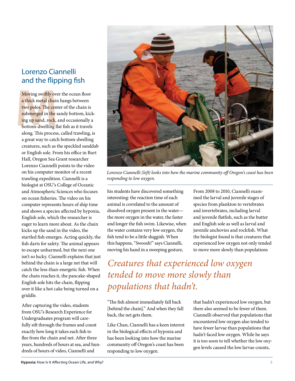#### Lorenzo Ciannelli and the flipping fish

Moving swiftly over<br>
a thick metal chair<br>
two poles. The cent<br>
submerged in the s<br>
ing up sand, rock,<br>
bottom-dwelling fl<br>
along. This process Moving swiftly over the ocean floor a thick metal chain hangs between two poles. The center of the chain is submerged in the sandy bottom, kicking up sand, rock, and occasionally a bottom-dwelling flat fish as it travels along. This process, called trawling, is a great way to catch bottom-dwelling creatures, such as the speckled sanddab or English sole. From his office in Burt Hall, Oregon Sea Grant researcher Lorenzo Ciannelli points to the video on his computer monitor of a recent trawling expedition. Ciannelli is a biologist at OSU's College of Oceanic and Atmospheric Sciences who focuses on ocean fisheries. The video on his computer represents hours of ship time and shows a species affected by hypoxia, English sole, which the researcher is eager to learn more about. As the chain kicks up the sand in the video, the startled fish emerges. Acting quickly, the fish darts for safety. The animal appears to escape unharmed, but the next one isn't so lucky. Ciannelli explains that just behind the chain is a large net that will catch the less-than-energetic fish. When the chain reaches it, the pancake-shaped English sole hits the chain, flipping over it like a hot cake being turned on a griddle.

After capturing the video, students from OSU's Research Experience for Undergraduates program will carefully sift through the frames and count exactly how long it takes each fish to flee from the chain and net. After three years, hundreds of hours at sea, and hundreds of hours of video, Ciannelli and



*Lorenzo Ciannelli (left) looks into how the marine community off Oregon's coast has been responding to low oxygen.*

his students have discovered something interesting: the reaction time of each animal is correlated to the amount of dissolved oxygen present in the water the more oxygen in the water, the faster and longer the fish swim. Likewise, when the water contains very low oxygen, the fish tend to be a little sluggish. When this happens, "Swoosh!" says Ciannelli, moving his hand in a sweeping gesture,

From 2008 to 2010, Ciannelli examined the larval and juvenile stages of species from plankton to vertebrates and invertebrates, including larval and juvenile flatfish, such as the butter and English sole as well as larval and juvenile anchovies and rockfish. What the biologist found is that creatures that experienced low oxygen not only tended to move more slowly than populations

*Creatures that experienced low oxygen tended to move more slowly than populations that hadn't.*

"The fish almost immediately fall back [behind the chain]." And when they fall back, the net gets them.

Like Chan, Ciannelli has a keen interest in the biological effects of hypoxia and has been looking into how the marine community off Oregon's coast has been responding to low oxygen.

that hadn't experienced low oxygen, but there also seemed to be fewer of them. Ciannelli observed that populations that encountered low oxygen also tended to have fewer larvae than populations that hadn't faced low oxygen. While he says it is too soon to tell whether the low oxygen levels caused the low larvae counts,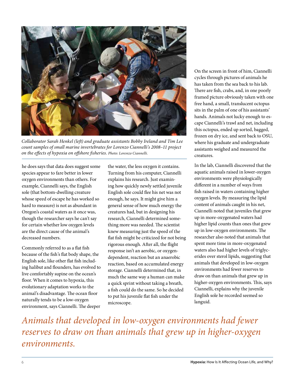

*Collaborator Sarah Henkel (left) and graduate assistants Bobby Ireland and Tim Lee count samples of small marine invertebrates for Lorenzo Ciannelli's 2008–11 project on the effects of hypoxia on offshore fisheries. Photo: Lorenzo Ciannelli.*

he does says that data does suggest some species appear to fare better in lower oxygen environments than others. For example, Ciannelli says, the English sole (that bottom-dwelling creature whose speed of escape he has worked so hard to measure) is not as abundant in Oregon's coastal waters as it once was, though the researcher says he can't say for certain whether low oxygen levels are the direct cause of the animal's decreased numbers.

Commonly referred to as a flat fish because of the fish's flat body shape, the English sole, like other flat fish including halibut and flounders, has evolved to live comfortably supine on the ocean's floor. When it comes to hypoxia, this evolutionary adaptation works to the animal's disadvantage. The ocean floor naturally tends to be a low-oxygen environment, says Ciannelli. The deeper

the water, the less oxygen it contains. Turning from his computer, Ciannelli explains his research. Just examining how quickly newly settled juvenile English sole could flee his net was not enough, he says. It might give him a general sense of how much energy the creatures had, but in designing his research, Ciannelli determined something more was needed. The scientist knew measuring just the speed of the flat fish might be criticized for not being rigorous enough. After all, the flight response isn't an aerobic, or oxygendependent, reaction but an anaerobic reaction, based on accumulated energy storage. Ciannelli determined that, in much the same way a human can make a quick sprint without taking a breath, a fish could do the same. So he decided to put his juvenile flat fish under the microscope.

On the screen in front of him, Ciannelli cycles through pictures of animals he has taken from the sea back to his lab. There are fish, crabs, and, in one poorly framed picture obviously taken with one free hand, a small, translucent octopus sits in the palm of one of his assistants' hands. Animals not lucky enough to escape Ciannelli's trawl and net, including this octopus, ended up sorted, bagged, frozen on dry ice, and sent back to OSU, where his graduate and undergraduate assistants weighed and measured the creatures.

In the lab, Ciannelli discovered that the aquatic animals raised in lower-oxygen environments were physiologically different in a number of ways from fish raised in waters containing higher oxygen levels. By measuring the lipid content of animals caught in his net, Ciannelli noted that juveniles that grew up in more-oxygenated waters had higher lipid counts than ones that grew up in low-oxygen environments. The researcher also noted that animals that spent more time in more-oxygenated waters also had higher levels of triglycerides over sterol lipids, suggesting that animals that developed in low-oxygen environments had fewer reserves to draw on than animals that grew up in higher-oxygen environments. This, says Ciannelli, explains why the juvenile English sole he recorded seemed so languid.

*Animals that developed in low-oxygen environments had fewer reserves to draw on than animals that grew up in higher-oxygen environments.*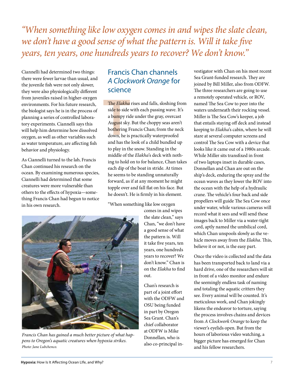*"When something like low oxygen comes in and wipes the slate clean, we don't have a good sense of what the pattern is. Will it take five years, ten years, one hundreds years to recover? We don't know."*

Ciannelli had determined two things: there were fewer larvae than usual, and the juvenile fish were not only slower, they were also physiologically different from juveniles raised in higher-oxygen environments. For his future research, the biologist says he is in the process of planning a series of controlled laboratory experiments. Ciannelli says this will help him determine how dissolved oxygen, as well as other variables such as water temperature, are affecting fish behavior and physiology.

As Ciannelli turned to the lab, Francis Chan continued his research on the ocean. By examining numerous species, Ciannelli had determined that some creatures were more vulnerable than others to the effects of hypoxia—something Francis Chan had begun to notice in his own research.

#### Francis Chan channels *A Clockwork Orange* for science

The *Elakha*<br>side to side<br>a bumpy ric<br>August sky.<br>bothering F<br>down, he is<br>and has the The *Elakha* rises and falls, sloshing from side to side with each passing wave. It's a bumpy ride under the gray, overcast August sky. But the choppy seas aren't bothering Francis Chan; from the neck down, he is practically waterproofed and has the look of a child bundled up to play in the snow. Standing in the middle of the *Elakha*'s deck with nothing to hold on to for balance, Chan takes each dip of the boat in stride. At times he seems to be standing unnaturally forward, as if at any moment he might topple over and fall flat on his face. But he doesn't. He is firmly in his element.

"When something like low oxygen



*Francis Chan has gained a much better picture of what happens to Oregon's aquatic creatures when hypoxia strikes. Photo: Jane Lubchenco.*

comes in and wipes the slate clean," says Chan, "we don't have a good sense of what the pattern is. Will it take five years, ten years, one hundreds years to recover? We don't know." Chan is on the *Elakha* to find out.

Chan's research is part of a joint effort with the ODFW and OSU being funded in part by Oregon Sea Grant. Chan's chief collaborator at ODFW is Mike Donnellan, who is also co-principal investigator with Chan on his most recent Sea Grant-funded research. They are joined by Bill Miller, also from ODFW. The three researchers are going to use a remotely operated vehicle, or ROV, named The Sea Cow to peer into the waters underneath their rocking vessel. Miller is The Sea Cow's keeper, a job that entails staying off deck and instead keeping to *Elakha*'s cabin, where he will stare at several computer screens and control The Sea Cow with a device that looks like it came out of a 1980s arcade. While Miller sits transfixed in front of two laptops inset in durable cases, Donnellan and Chan are out on the ship's deck, enduring the spray and the ocean waves as they lower the ROV into the ocean with the help of a hydraulic crane. The vehicle's four back and side propellers will guide The Sea Cow once under water, while various cameras will record what it sees and will send these images back to Miller via a water-tight cord, aptly named the umbilical cord, which Chan unspools slowly as the vehicle moves away from the *Elakha*. This, believe it or not, is the easy part.

Once the video is collected and the data has been transported back to land via a hard drive, one of the researchers will sit in front of a video monitor and endure the seemingly endless task of naming and totaling the aquatic critters they see. Every animal will be counted. It's meticulous work, and Chan jokingly likens the endeavor to torture, saying the process involves chains and devices from *A Clockwork Orange* to keep the viewer's eyelids open. But from the hours of laborious video watching, a bigger picture has emerged for Chan and his fellow researchers.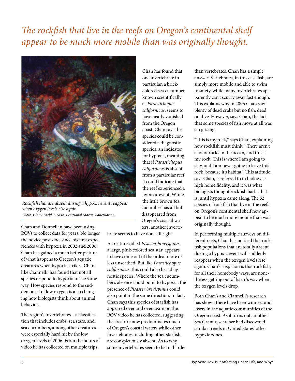# *The rockfish that live in the reefs on Oregon's continental shelf appear to be much more mobile than was originally thought.*



*Rockfish that are absent during a hypoxic event reappear when oxygen levels rise again. Photo: Claire Fackler, NOAA National Marine Sanctuaries.*

Chan and Donnellan have been using ROVs to collect data for years. No longer the novice post-doc, since his first experiences with hypoxia in 2002 and 2006 Chan has gained a much better picture of what happens to Oregon's aquatic creatures when hypoxia strikes. Chan, like Ciannelli, has found that not all species respond to hypoxia in the same way. How species respond to the sudden onset of low oxygen is also changing how biologists think about animal behavior.

The region's invertebrates—a classification that includes crabs, sea stars, and sea cucumbers, among other creatures were especially hard hit by the low oxygen levels of 2006. From the hours of video he has collected on multiple trips,

Chan has found that one invertebrate in particular, a brickcolored sea cucumber known scientifically as *Parastichopus californicus*, seems to have nearly vanished from the Oregon coast. Chan says the species could be considered a diagnostic species, an indicator for hypoxia, meaning that if *Parastichopus californicus* is absent from a particular reef, it could indicate that the reef experienced a hypoxic event. While the little brown sea cucumber has all but disappeared from Oregon's coastal waters, another inverte-

brate seems to have done all right.

A creature called *Pisaster brevispinus*, a large, pink-colored sea star, appears to have come out of the ordeal more or less unscathed. But like *Parastichopus californicus*, this could also be a diagnostic species. Where the sea cucumber's absence could point to hypoxia, the presence of *Pisaster brevispinus* could also point in the same direction. In fact, Chan says this species of starfish has appeared over and over again on the ROV video he has collected, suggesting the creature now predominates much of Oregon's coastal waters while other invertebrates, including other starfish, are conspicuously absent. As to why some invertebrates seem to be hit harder than vertebrates, Chan has a simple answer: Vertebrates, in this case fish, are simply more mobile and able to swim to safety, while many invertebrates apparently can't scurry away fast enough. This explains why in 2006 Chan saw plenty of dead crabs but no fish, dead or alive. However, says Chan, the fact that some species of fish move at all was surprising.

"This is my rock," says Chan, explaining how rockfish must think. "There aren't a lot of rocks in the ocean, and this is my rock. This is where I am going to stay, and I am never going to leave this rock, because it's habitat." This attitude, says Chan, is referred to in biology as high home fidelity, and it was what biologists thought rockfish had—that is, until hypoxia came along. The 52 species of rockfish that live in the reefs on Oregon's continental shelf now appear to be much more mobile than was originally thought.

In performing multiple surveys on different reefs, Chan has noticed that rockfish populations that are totally absent during a hypoxic event will suddenly reappear when the oxygen levels rise again. Chan's suspicion is that rockfish, for all their homebody ways, are nonetheless getting out of harm's way when the oxygen levels drop.

Both Chan's and Ciannelli's research has shown there have been winners and losers in the aquatic communities of the Oregon coast. As it turns out, another Sea Grant researcher had discovered similar trends in United States' other hypoxic zones.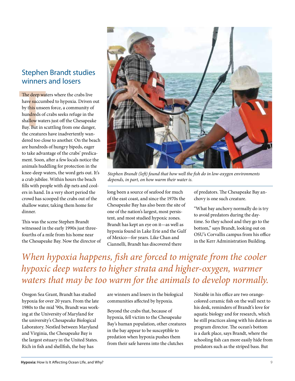#### Stephen Brandt studies winners and losers

The deep wa<br>have succum<br>by this unsee<br>hundreds of<br>shallow wate<br>Bay. But in s<br>the creatures The deep waters where the crabs live have succumbed to hypoxia. Driven out by this unseen force, a community of hundreds of crabs seeks refuge in the shallow waters just off the Chesapeake Bay. But in scuttling from one danger, the creatures have inadvertently wandered too close to another. On the beach are hundreds of hungry bipeds, eager to take advantage of the crabs' predicament. Soon, after a few locals notice the animals huddling for protection in the knee-deep waters, the word gets out. It's a crab jubilee. Within hours the beach fills with people with dip nets and coolers in hand. In a very short period the crowd has scooped the crabs out of the shallow water, taking them home for dinner.

This was the scene Stephen Brandt witnessed in the early 1990s just threefourths of a mile from his home near the Chesapeake Bay. Now the director of



*Stephen Brandt (left) found that how well the fish do in low-oxygen environments depends, in part, on how warm their water is.*

long been a source of seafood for much of the east coast, and since the 1970s the Chesapeake Bay has also been the site of one of the nation's largest, most persistent, and most studied hypoxic zones. Brandt has kept an eye on it—as well as hypoxia found in Lake Erie and the Gulf of Mexico—for years. Like Chan and Ciannelli, Brandt has discovered there

of predators. The Chesapeake Bay anchovy is one such creature.

"What bay anchovy normally do is try to avoid predators during the daytime. So they school and they go to the bottom," says Brandt, looking out on OSU's Corvallis campus from his office in the Kerr Administration Building.

*When hypoxia happens, fish are forced to migrate from the cooler hypoxic deep waters to higher strata and higher-oxygen, warmer waters that may be too warm for the animals to develop normally.*

Oregon Sea Grant, Brandt has studied hypoxia for over 20 years. From the late 1980s to the mid '90s, Brandt was working at the University of Maryland for the university's Chesapeake Biological Laboratory. Nestled between Maryland and Virginia, the Chesapeake Bay is the largest estuary in the United States. Rich in fish and shellfish, the bay has

are winners and losers in the biological communities affected by hypoxia.

Beyond the crabs that, because of hypoxia, fell victim to the Chesapeake Bay's human population, other creatures in the bay appear to be susceptible to predation when hypoxia pushes them from their safe havens into the clutches

Notable in his office are two orangecolored ceramic fish on the wall next to his desk, reminders of Brandt's love for aquatic biology and for research, which he still practices along with his duties as program director. The ocean's bottom is a dark place, says Brandt, where the schooling fish can more easily hide from predators such as the striped bass. But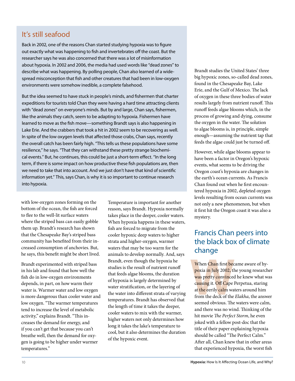#### It's still seafood

Back in 2002, one of the reasons Chan started studying hypoxia was to figure out exactly what was happening to fish and invertebrates off the coast. But the researcher says he was also concerned that there was a lot of misinformation about hypoxia. In 2002 and 2006, the media had used words like "dead zones" to describe what was happening. By polling people, Chan also learned of a widespread misconception that fish and other creatures that had been in low-oxygen environments were somehow inedible, a complete falsehood.

But the idea seemed to have stuck in people's minds, and fishermen that charter expeditions for tourists told Chan they were having a hard time attracting clients with "dead zones" on everyone's minds. But by and large, Chan says, fishermen, like the animals they catch, seem to be adapting to hypoxia. Fishermen have learned to move as the fish move—something Brandt says is also happening in Lake Erie. And the crabbers that took a hit in 2002 seem to be recovering as well. In spite of the low oxygen levels that affected those crabs, Chan says, recently the overall catch has been fairly high. "This tells us these populations have some resilience," he says. "That they can withstand these pretty strange biochemical events." But, he continues, this could be just a short-term effect. "In the long term, if there is some impact on how productive these fish populations are, then we need to take that into account. And we just don't have that kind of scientific information yet." This, says Chan, is why it is so important to continue research into hypoxia.

with low-oxygen zones forming on the bottom of the ocean, the fish are forced to flee to the well-lit surface waters where the striped bass can easily gobble them up. Brandt's research has shown that the Chesapeake Bay's striped bass community has benefited from their increased consumption of anchovies. But, he says, this benefit might be short lived.

Brandt experimented with striped bass in his lab and found that how well the fish do in low-oxygen environments depends, in part, on how warm their water is. Warmer water and low oxygen is more dangerous than cooler water and low oxygen. "The warmer temperatures tend to increase the level of metabolic activity," explains Brandt. "This increases the demand for energy, and if you can't get that because you can't breathe well, then the demand for oxygen is going to be higher under warmer temperatures."

Temperature is important for another reason, says Brandt. Hypoxia normally takes place in the deeper, cooler waters. When hypoxia happens in these waters, fish are forced to migrate from the cooler hypoxic deep waters to higher strata and higher-oxygen, warmer waters that may be too warm for the animals to develop normally. And, says Brandt, even though the hypoxia he studies is the result of nutrient runoff that feeds algae blooms, the duration of hypoxia is largely determined by water stratification, or the layering of the water into different strata of varying temperatures. Brandt has observed that the length of time it takes the deeper, cooler waters to mix with the warmer, higher waters not only determines how long it takes the lake's temperature to cool, but it also determines the duration of the hypoxic event.

Brandt studies the United States' three big hypoxic zones, so-called dead zones, found in the Chesapeake Bay, Lake Erie, and the Gulf of Mexico. The lack of oxygen in these three bodies of water results largely from nutrient runoff. This runoff feeds algae blooms which, in the process of growing and dying, consume the oxygen in the water. The solution to algae blooms is, in principle, simple enough—assuming the nutrient tap that feeds the algae could just be turned off.

However, while algae blooms appear to have been a factor in Oregon's hypoxic events, what seems to be driving the Oregon coast's hypoxia are changes in the earth's ocean currents. As Francis Chan found out when he first encountered hypoxia in 2002, depleted oxygen levels resulting from ocean currents was not only a new phenomenon, but when it first hit the Oregon coast it was also a mystery.

#### Francis Chan peers into the black box of climate change

When Chan first bec<br>poxia in July 2002, the<br>was pretty convinced<br>causing it. Off Cape I<br>at the eerily calm was<br>from the deck of the<br>seemed obvious. The When Chan first became aware of hypoxia in July 2002, the young researcher was pretty convinced he knew what was causing it. Off Cape Perpetua, staring at the eerily calm waters around him from the deck of the *Elakha*, the answer seemed obvious. The waters were calm, and there was no wind. Thinking of the hit movie *The Perfect Storm*, he even joked with a fellow post-doc that the title of their paper explaining hypoxia should be called "The Perfect Calm." After all, Chan knew that in other areas that experienced hypoxia, the worst fish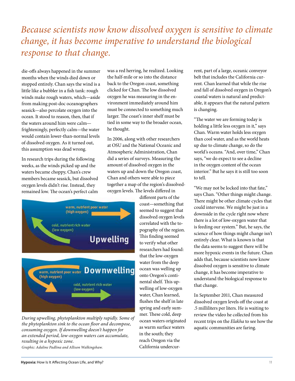# *Because scientists now know dissolved oxygen is sensitive to climate change, it has become imperative to understand the biological response to that change.*

die-offs always happened in the summer months when the winds died down or stopped entirely. Chan says the wind is a little like a bubbler in a fish tank: rough winds make rough waters, which—aside from making post-doc oceanographers seasick—also percolate oxygen into the ocean. It stood to reason, then, that if the waters around him were calm frighteningly, perfectly calm—the water would contain lower-than-normal levels of dissolved oxygen. As it turned out, this assumption was dead wrong.

In research trips during the following weeks, as the winds picked up and the waters became choppy, Chan's crew members became seasick, but dissolved oxygen levels didn't rise. Instead, they remained low. The ocean's perfect calm was a red herring, he realized. Looking the half-mile or so into the distance back to the Oregon coast, something clicked for Chan. The low dissolved oxygen he was measuring in the environment immediately around him must be connected to something much larger. The coast's inner shelf must be tied in some way to the broader ocean, he thought.

In 2006, along with other researchers at OSU and the National Oceanic and Atmospheric Administration, Chan did a series of surveys. Measuring the amount of dissolved oxygen in the waters up and down the Oregon coast, Chan and others were able to piece together a map of the region's dissolvedoxygen levels. The levels differed in



*During upwelling, phytoplankton multiply rapidly. Some of the phytoplankton sink to the ocean floor and decompose, consuming oxygen. If downwelling doesn't happen for an extended period, low-oxygen waters can accumulate, resulting in a hypoxic zone.* 

*Graphic: Adaline Padlina and Allison Walkingshaw.*

different parts of the coast—something that seemed to suggest that dissolved oxygen levels correlated with the topography of the region. This finding seemed to verify what other researchers had found: that the low-oxygen water from the deep ocean was welling up onto Oregon's continental shelf. This upwelling of low-oxygen water, Chan learned, flushes the shelf in late spring and early summer. These cold, deep ocean waters originated as warm surface waters in the south; they reach Oregon via the California undercurrent, part of a large, oceanic conveyor belt that includes the California current. Chan learned that while the rise and fall of dissolved oxygen in Oregon's coastal waters is natural and predictable, it appears that the natural pattern is changing.

"The water we are forming today is holding a little less oxygen in it," says Chan. Warm water holds less oxygen than cool water, and as the world heats up due to climate change, so do the world's oceans. "And, over time," Chan says, "we do expect to see a decline in the oxygen content of the ocean interior." But he says it is still too soon to tell.

"We may not be locked into that fate," says Chan. "Other things might change. There might be other climate cycles that could intervene. We might be just in a downside in the cycle right now where there is a lot of low-oxygen water that is feeding our system." But, he says, the science of how things might change isn't entirely clear. What is known is that the data seems to suggest there will be more hypoxic events in the future. Chan adds that, because scientists now know dissolved oxygen is sensitive to climate change, it has become imperative to understand the biological response to that change.

In September 2011, Chan measured dissolved oxygen levels off the coast at .5 milliliters per liters. He is waiting to review the video he collected from his recent trips on the *Elakha* to see how the aquatic communities are faring.